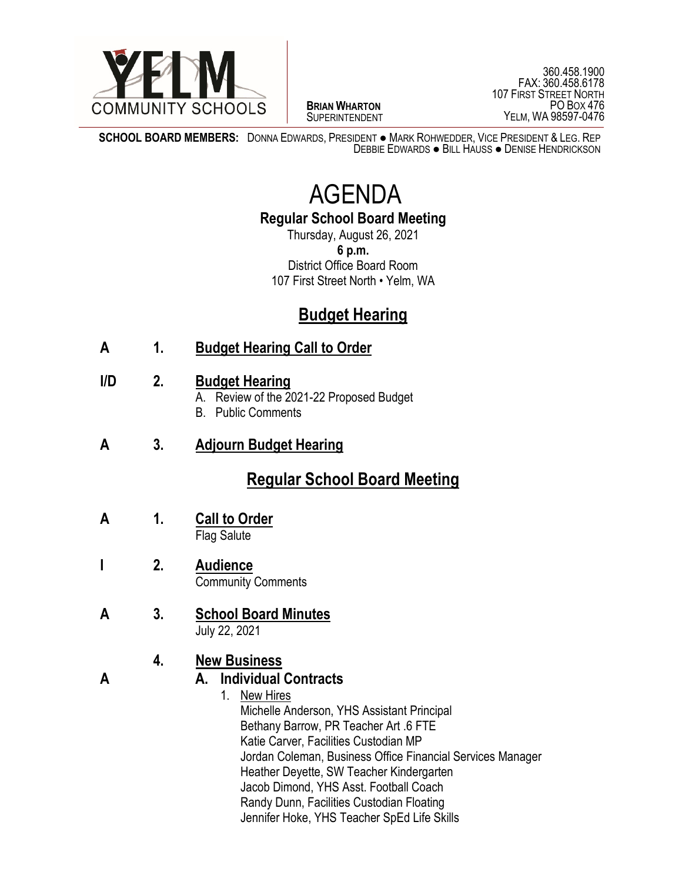

 $\overline{a}$ **BRIAN WHARTON** SUPERINTENDENT

360.458.1900 FAX: 360.458.6178 107 FIRST STREET NORTH PO BOX 476 YELM, WA 98597-0476

**SCHOOL BOARD MEMBERS:** DONNA EDWARDS, PRESIDENT ● MARK ROHWEDDER, VICE PRESIDENT & LEG. REP DEBBIE EDWARDS ● BILL HAUSS ● DENISE HENDRICKSON

# AGENDA

**Regular School Board Meeting**

Thursday, August 26, 2021 **6 p.m.** District Office Board Room 107 First Street North • Yelm, WA

## **Budget Hearing**

### **A 1. Budget Hearing Call to Order**

#### **I/D 2. Budget Hearing**

- A. Review of the 2021-22 Proposed Budget
- B. Public Comments
- **A 3. Adjourn Budget Hearing**

## **Regular School Board Meeting**

- **A 1. Call to Order** Flag Salute
- **I 2. Audience** Community Comments
- **A 3. School Board Minutes** July 22, 2021

#### **4. New Business**

#### **A A. Individual Contracts**

1. New Hires Michelle Anderson, YHS Assistant Principal Bethany Barrow, PR Teacher Art .6 FTE Katie Carver, Facilities Custodian MP Jordan Coleman, Business Office Financial Services Manager Heather Deyette, SW Teacher Kindergarten Jacob Dimond, YHS Asst. Football Coach Randy Dunn, Facilities Custodian Floating Jennifer Hoke, YHS Teacher SpEd Life Skills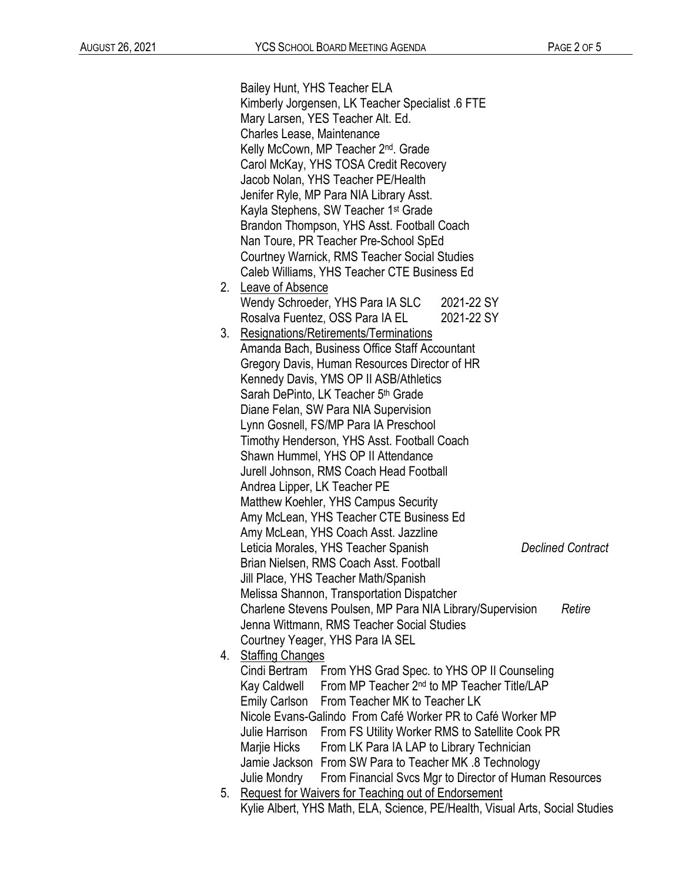|    | Bailey Hunt, YHS Teacher ELA                                                        |            |  |  |  |  |  |
|----|-------------------------------------------------------------------------------------|------------|--|--|--|--|--|
|    | Kimberly Jorgensen, LK Teacher Specialist .6 FTE                                    |            |  |  |  |  |  |
|    | Mary Larsen, YES Teacher Alt. Ed.                                                   |            |  |  |  |  |  |
|    | Charles Lease, Maintenance                                                          |            |  |  |  |  |  |
|    | Kelly McCown, MP Teacher 2 <sup>nd</sup> . Grade                                    |            |  |  |  |  |  |
|    | Carol McKay, YHS TOSA Credit Recovery                                               |            |  |  |  |  |  |
|    | Jacob Nolan, YHS Teacher PE/Health                                                  |            |  |  |  |  |  |
|    | Jenifer Ryle, MP Para NIA Library Asst.                                             |            |  |  |  |  |  |
|    | Kayla Stephens, SW Teacher 1 <sup>st</sup> Grade                                    |            |  |  |  |  |  |
|    |                                                                                     |            |  |  |  |  |  |
|    | Brandon Thompson, YHS Asst. Football Coach<br>Nan Toure, PR Teacher Pre-School SpEd |            |  |  |  |  |  |
|    | Courtney Warnick, RMS Teacher Social Studies                                        |            |  |  |  |  |  |
|    | Caleb Williams, YHS Teacher CTE Business Ed                                         |            |  |  |  |  |  |
| 2. | Leave of Absence                                                                    |            |  |  |  |  |  |
|    | Wendy Schroeder, YHS Para IA SLC                                                    | 2021-22 SY |  |  |  |  |  |
|    | Rosalva Fuentez, OSS Para IA EL                                                     | 2021-22 SY |  |  |  |  |  |
| 3. | Resignations/Retirements/Terminations                                               |            |  |  |  |  |  |
|    | Amanda Bach, Business Office Staff Accountant                                       |            |  |  |  |  |  |
|    | Gregory Davis, Human Resources Director of HR                                       |            |  |  |  |  |  |
|    | Kennedy Davis, YMS OP II ASB/Athletics                                              |            |  |  |  |  |  |
|    | Sarah DePinto, LK Teacher 5 <sup>th</sup> Grade                                     |            |  |  |  |  |  |
|    | Diane Felan, SW Para NIA Supervision                                                |            |  |  |  |  |  |
|    | Lynn Gosnell, FS/MP Para IA Preschool                                               |            |  |  |  |  |  |
|    | Timothy Henderson, YHS Asst. Football Coach                                         |            |  |  |  |  |  |
|    | Shawn Hummel, YHS OP II Attendance                                                  |            |  |  |  |  |  |
|    | Jurell Johnson, RMS Coach Head Football                                             |            |  |  |  |  |  |
|    | Andrea Lipper, LK Teacher PE                                                        |            |  |  |  |  |  |
|    | Matthew Koehler, YHS Campus Security                                                |            |  |  |  |  |  |
|    | Amy McLean, YHS Teacher CTE Business Ed                                             |            |  |  |  |  |  |
|    | Amy McLean, YHS Coach Asst. Jazzline                                                |            |  |  |  |  |  |
|    | Leticia Morales, YHS Teacher Spanish<br><b>Declined Contract</b>                    |            |  |  |  |  |  |
|    | Brian Nielsen, RMS Coach Asst. Football                                             |            |  |  |  |  |  |
|    | Jill Place, YHS Teacher Math/Spanish                                                |            |  |  |  |  |  |
|    | Melissa Shannon, Transportation Dispatcher                                          |            |  |  |  |  |  |
|    | Charlene Stevens Poulsen, MP Para NIA Library/Supervision<br>Retire                 |            |  |  |  |  |  |
|    | Jenna Wittmann, RMS Teacher Social Studies                                          |            |  |  |  |  |  |
|    | Courtney Yeager, YHS Para IA SEL                                                    |            |  |  |  |  |  |
| 4. | <b>Staffing Changes</b>                                                             |            |  |  |  |  |  |
|    | Cindi Bertram<br>From YHS Grad Spec. to YHS OP II Counseling                        |            |  |  |  |  |  |
|    | Kay Caldwell From MP Teacher 2nd to MP Teacher Title/LAP                            |            |  |  |  |  |  |
|    | Emily Carlson From Teacher MK to Teacher LK                                         |            |  |  |  |  |  |
|    | Nicole Evans-Galindo From Café Worker PR to Café Worker MP                          |            |  |  |  |  |  |
|    | Julie Harrison<br>From FS Utility Worker RMS to Satellite Cook PR                   |            |  |  |  |  |  |
|    | Marjie Hicks<br>From LK Para IA LAP to Library Technician                           |            |  |  |  |  |  |
|    | Jamie Jackson From SW Para to Teacher MK .8 Technology                              |            |  |  |  |  |  |
|    | From Financial Svcs Mgr to Director of Human Resources<br>Julie Mondry              |            |  |  |  |  |  |
| 5. | <b>Request for Waivers for Teaching out of Endorsement</b>                          |            |  |  |  |  |  |
|    | Kylie Albert, YHS Math, ELA, Science, PE/Health, Visual Arts, Social Studies        |            |  |  |  |  |  |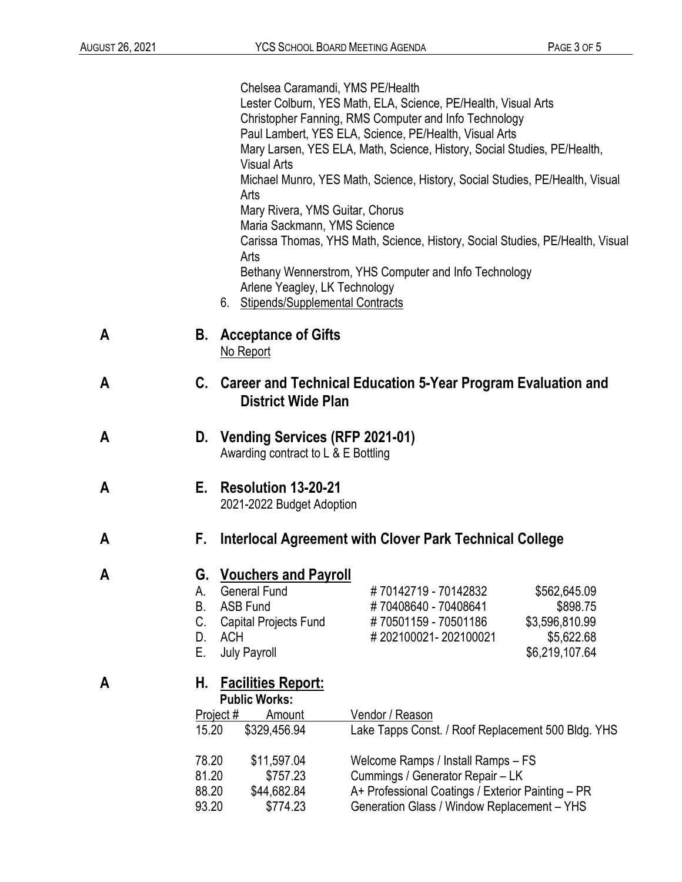|   |                                   | Chelsea Caramandi, YMS PE/Health<br><b>Visual Arts</b><br>Arts<br>Mary Rivera, YMS Guitar, Chorus<br>Maria Sackmann, YMS Science<br>Arts<br>Arlene Yeagley, LK Technology<br>6. Stipends/Supplemental Contracts | Lester Colburn, YES Math, ELA, Science, PE/Health, Visual Arts<br>Christopher Fanning, RMS Computer and Info Technology<br>Paul Lambert, YES ELA, Science, PE/Health, Visual Arts<br>Mary Larsen, YES ELA, Math, Science, History, Social Studies, PE/Health,<br>Michael Munro, YES Math, Science, History, Social Studies, PE/Health, Visual<br>Carissa Thomas, YHS Math, Science, History, Social Studies, PE/Health, Visual<br>Bethany Wennerstrom, YHS Computer and Info Technology |  |
|---|-----------------------------------|-----------------------------------------------------------------------------------------------------------------------------------------------------------------------------------------------------------------|-----------------------------------------------------------------------------------------------------------------------------------------------------------------------------------------------------------------------------------------------------------------------------------------------------------------------------------------------------------------------------------------------------------------------------------------------------------------------------------------|--|
| Α | В.                                | <b>Acceptance of Gifts</b><br>No Report                                                                                                                                                                         |                                                                                                                                                                                                                                                                                                                                                                                                                                                                                         |  |
| A |                                   | C. Career and Technical Education 5-Year Program Evaluation and<br><b>District Wide Plan</b>                                                                                                                    |                                                                                                                                                                                                                                                                                                                                                                                                                                                                                         |  |
| Α |                                   | D. Vending Services (RFP 2021-01)<br>Awarding contract to L & E Bottling                                                                                                                                        |                                                                                                                                                                                                                                                                                                                                                                                                                                                                                         |  |
| Α | Е.                                | <b>Resolution 13-20-21</b><br>2021-2022 Budget Adoption                                                                                                                                                         |                                                                                                                                                                                                                                                                                                                                                                                                                                                                                         |  |
| Α | F.                                | Interlocal Agreement with Clover Park Technical College                                                                                                                                                         |                                                                                                                                                                                                                                                                                                                                                                                                                                                                                         |  |
| Α | А.<br><b>B.</b><br>C.<br>D.<br>Е. | G. Vouchers and Payroll<br><b>General Fund</b><br><b>ASB Fund</b><br>Capital Projects Fund<br><b>ACH</b><br><b>July Payroll</b>                                                                                 | #70142719 - 70142832<br>\$562,645.09<br>#70408640 - 70408641<br>\$898.75<br>#70501159 - 70501186<br>\$3,596,810.99<br>#202100021-202100021<br>\$5,622.68<br>\$6,219,107.64                                                                                                                                                                                                                                                                                                              |  |
| Α | Н.<br>15.20<br>78.20<br>81.20     | <b>Facilities Report:</b><br><b>Public Works:</b><br>Project #<br>Amount<br>\$329,456.94<br>\$11,597.04<br>\$757.23                                                                                             | Vendor / Reason<br>Lake Tapps Const. / Roof Replacement 500 Bldg. YHS<br>Welcome Ramps / Install Ramps - FS<br>Cummings / Generator Repair - LK                                                                                                                                                                                                                                                                                                                                         |  |
|   | 88.20                             | \$44,682.84                                                                                                                                                                                                     | A+ Professional Coatings / Exterior Painting - PR                                                                                                                                                                                                                                                                                                                                                                                                                                       |  |

93.20 \$774.23 Generation Glass / Window Replacement – YHS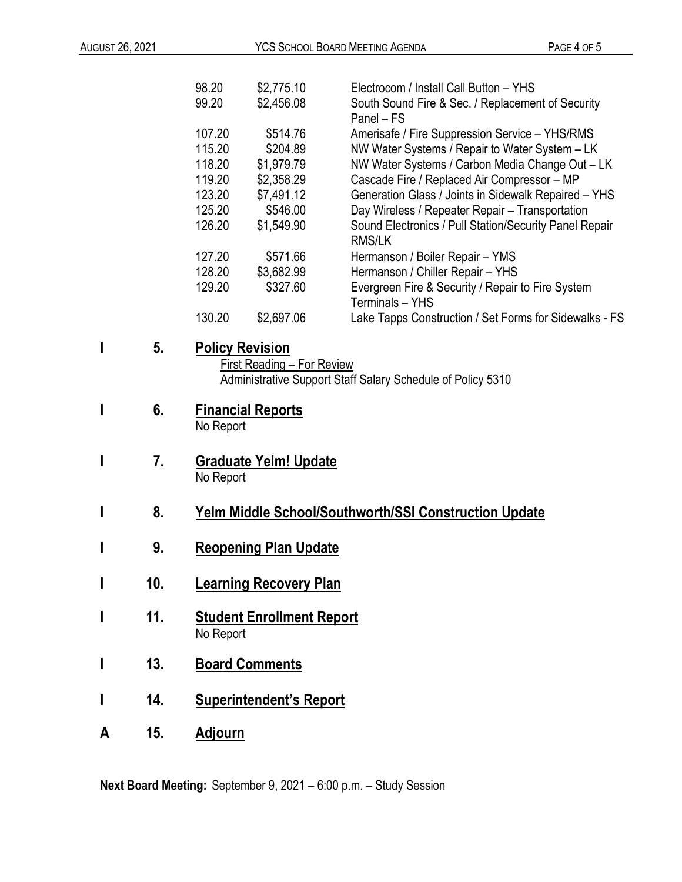|   |     | 98.20<br>99.20                                                                                                             | \$2,775.10<br>\$2,456.08           | Electrocom / Install Call Button - YHS<br>South Sound Fire & Sec. / Replacement of Security<br>Panel - FS                                           |  |
|---|-----|----------------------------------------------------------------------------------------------------------------------------|------------------------------------|-----------------------------------------------------------------------------------------------------------------------------------------------------|--|
|   |     | 107.20<br>115.20<br>118.20                                                                                                 | \$514.76<br>\$204.89<br>\$1,979.79 | Amerisafe / Fire Suppression Service - YHS/RMS<br>NW Water Systems / Repair to Water System - LK<br>NW Water Systems / Carbon Media Change Out - LK |  |
|   |     | 119.20                                                                                                                     | \$2,358.29                         | Cascade Fire / Replaced Air Compressor - MP                                                                                                         |  |
|   |     | 123.20                                                                                                                     | \$7,491.12                         | Generation Glass / Joints in Sidewalk Repaired - YHS                                                                                                |  |
|   |     | 125.20<br>126.20                                                                                                           | \$546.00<br>\$1,549.90             | Day Wireless / Repeater Repair - Transportation<br>Sound Electronics / Pull Station/Security Panel Repair<br><b>RMS/LK</b>                          |  |
|   |     | 127.20                                                                                                                     | \$571.66                           | Hermanson / Boiler Repair - YMS                                                                                                                     |  |
|   |     | 128.20                                                                                                                     | \$3,682.99                         | Hermanson / Chiller Repair - YHS                                                                                                                    |  |
|   |     | 129.20                                                                                                                     | \$327.60                           | Evergreen Fire & Security / Repair to Fire System<br>Terminals - YHS                                                                                |  |
|   |     | 130.20                                                                                                                     | \$2,697.06                         | Lake Tapps Construction / Set Forms for Sidewalks - FS                                                                                              |  |
| I | 5.  | <b>Policy Revision</b><br><b>First Reading - For Review</b><br>Administrative Support Staff Salary Schedule of Policy 5310 |                                    |                                                                                                                                                     |  |
| I | 6.  | <b>Financial Reports</b><br>No Report                                                                                      |                                    |                                                                                                                                                     |  |
| I | 7.  | <b>Graduate Yelm! Update</b><br>No Report                                                                                  |                                    |                                                                                                                                                     |  |
| I | 8.  | <b>Yelm Middle School/Southworth/SSI Construction Update</b>                                                               |                                    |                                                                                                                                                     |  |
| I | 9.  | <b>Reopening Plan Update</b>                                                                                               |                                    |                                                                                                                                                     |  |
| I | 10. | <b>Learning Recovery Plan</b>                                                                                              |                                    |                                                                                                                                                     |  |
| I | 11. | <b>Student Enrollment Report</b><br>No Report                                                                              |                                    |                                                                                                                                                     |  |
| I | 13. | <b>Board Comments</b>                                                                                                      |                                    |                                                                                                                                                     |  |
| I | 14. | <b>Superintendent's Report</b>                                                                                             |                                    |                                                                                                                                                     |  |
| A | 15. | <b>Adjourn</b>                                                                                                             |                                    |                                                                                                                                                     |  |

**Next Board Meeting:** September 9, 2021 – 6:00 p.m. – Study Session